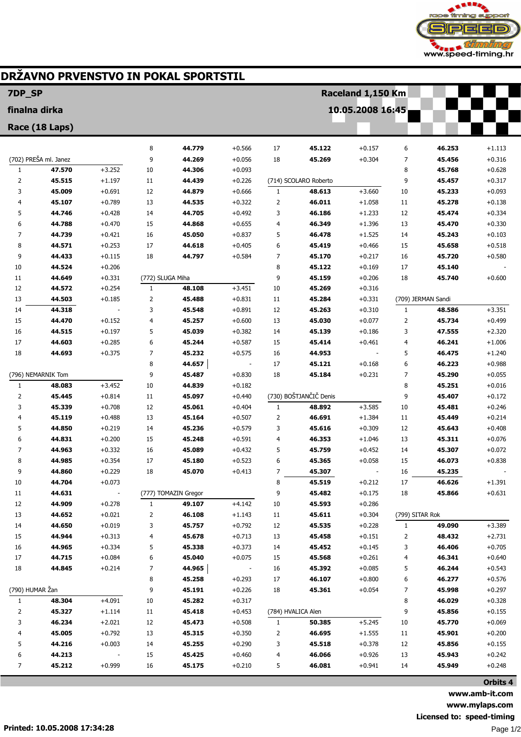

## DRŽAVNO PRVENSTVO IN POKAL SPORTSTIL

| 7DP_SP                             |        |          |                  | Raceland 1,150 Km    |                      |                |                        |                  |                 |                    |                      |
|------------------------------------|--------|----------|------------------|----------------------|----------------------|----------------|------------------------|------------------|-----------------|--------------------|----------------------|
| finalna dirka                      |        |          |                  |                      |                      |                |                        | 10.05.2008 16:45 |                 |                    |                      |
| Race (18 Laps)                     |        |          |                  |                      |                      |                |                        |                  |                 |                    |                      |
|                                    |        |          | 8                | 44.779               | $+0.566$             | 17             | 45.122                 | $+0.157$         | 6               | 46.253             | $+1.113$             |
| (702) PREŠA ml. Janez              |        |          | 9                | 44.269               | $+0.056$             | 18             | 45.269                 | $+0.304$         | 7               | 45.456             | $+0.316$             |
| $\mathbf{1}$                       | 47.570 | $+3.252$ | 10               | 44.306               | $+0.093$             |                |                        |                  | 8               | 45.768             | $+0.628$             |
| 2                                  | 45.515 | $+1.197$ | 11               | 44.439               | $+0.226$             |                | (714) SCOLARO Roberto  |                  | 9               | 45.457             | $+0.317$             |
| 3                                  | 45.009 | $+0.691$ | 12               | 44.879               | $+0.666$             | $\mathbf{1}$   | 48.613                 | $+3.660$         | 10              | 45.233             | $+0.093$             |
| 4                                  | 45.107 | $+0.789$ | 13               | 44.535               | $+0.322$             | $\overline{2}$ | 46.011                 | $+1.058$         | 11              | 45.278             | $+0.138$             |
| 5                                  | 44.746 | $+0.428$ | 14               | 44.705               | $+0.492$             | 3              | 46.186                 | $+1.233$         | 12              | 45.474             | $+0.334$             |
| 6                                  | 44.788 | $+0.470$ | 15               | 44.868               | $+0.655$             | 4              | 46.349                 | $+1.396$         | 13              | 45.470             | $+0.330$             |
| 7                                  | 44.739 | $+0.421$ | 16               | 45.050               | $+0.837$             | 5              | 46.478                 | $+1.525$         | 14              | 45.243             | $+0.103$             |
| 8                                  | 44.571 | $+0.253$ | 17               | 44.618               | $+0.405$             | 6              | 45.419                 | $+0.466$         | 15              | 45.658             | $+0.518$             |
| 9                                  | 44.433 | $+0.115$ | 18               | 44.797               | $+0.584$             | 7              | 45.170                 | $+0.217$         | 16              | 45.720             | $+0.580$             |
| 10                                 | 44.524 | $+0.206$ |                  |                      |                      | 8              | 45.122                 | $+0.169$         | 17              | 45.140             |                      |
| 11                                 | 44.649 | $+0.331$ | (772) SLUGA Miha |                      |                      | 9              | 45.159                 | $+0.206$         | 18              | 45.740             | $+0.600$             |
| 12                                 | 44.572 | $+0.254$ | $\mathbf{1}$     | 48.108               | $+3.451$             | 10             | 45.269                 | $+0.316$         |                 |                    |                      |
| 13                                 | 44.503 | $+0.185$ | 2                | 45.488               | $+0.831$             | 11             | 45.284                 | $+0.331$         |                 | (709) JERMAN Sandi |                      |
| 14                                 | 44.318 |          | 3                | 45.548               | $+0.891$             | 12             | 45.263                 | $+0.310$         | 1               | 48.586             | $+3.351$             |
| 15                                 | 44.470 | $+0.152$ | 4                | 45.257               | $+0.600$             | 13             | 45.030                 | $+0.077$         | $\overline{2}$  | 45.734             | $+0.499$             |
| 16                                 | 44.515 | $+0.197$ | 5                | 45.039               | $+0.382$             | 14             | 45.139                 | $+0.186$         | 3               | 47.555             | $+2.320$             |
| 17                                 | 44.603 | $+0.285$ | 6                | 45.244               | $+0.587$             | 15             | 45.414                 | $+0.461$         | 4               | 46.241             | $+1.006$             |
| 18                                 | 44.693 | $+0.375$ | 7                | 45.232               | $+0.575$             | 16             | 44.953                 |                  | 5               | 46.475             | $+1.240$             |
|                                    |        |          | 8                | 44.657               |                      | 17             | 45.121                 | $+0.168$         | 6               | 46.223             | $+0.988$             |
| (796) NEMARNIK Tom<br>$\mathbf{1}$ | 48.083 | $+3.452$ | 9<br>10          | 45.487<br>44.839     | $+0.830$             | 18             | 45.184                 | $+0.231$         | 7               | 45.290<br>45.251   | $+0.055$<br>$+0.016$ |
| 2                                  | 45.445 | $+0.814$ | 11               | 45.097               | $+0.182$<br>$+0.440$ |                | (730) BOŠTJANČIČ Denis |                  | 8<br>9          | 45.407             | $+0.172$             |
| 3                                  | 45.339 | $+0.708$ | 12               | 45.061               | $+0.404$             | $\mathbf{1}$   | 48.892                 | $+3.585$         | 10              | 45.481             | $+0.246$             |
| 4                                  | 45.119 | $+0.488$ | 13               | 45.164               | $+0.507$             | 2              | 46.691                 | $+1.384$         | 11              | 45.449             | $+0.214$             |
| 5                                  | 44.850 | $+0.219$ | 14               | 45.236               | $+0.579$             | 3              | 45.616                 | $+0.309$         | 12              | 45.643             | $+0.408$             |
| 6                                  | 44.831 | $+0.200$ | 15               | 45.248               | $+0.591$             | 4              | 46.353                 | $+1.046$         | 13              | 45.311             | $+0.076$             |
| 7                                  | 44.963 | $+0.332$ | 16               | 45.089               | $+0.432$             | 5              | 45.759                 | $+0.452$         | 14              | 45.307             | $+0.072$             |
| 8                                  | 44.985 | $+0.354$ | 17               | 45.180               | $+0.523$             | 6              | 45.365                 | $+0.058$         | 15              | 46.073             | $+0.838$             |
| 9                                  | 44.860 | $+0.229$ | 18               | 45.070               | $+0.413$             | $\overline{7}$ | 45.307                 |                  | 16              | 45.235             |                      |
| 10                                 | 44.704 | $+0.073$ |                  |                      |                      | 8              | 45.519                 | $+0.212$         | 17              | 46.626             | $+1.391$             |
| 11                                 | 44.631 |          |                  | (777) TOMAZIN Gregor |                      | 9              | 45.482                 | $+0.175$         | 18              | 45.866             | $+0.631$             |
| 12                                 | 44.909 | $+0.278$ | 1                | 49.107               | $+4.142$             | 10             | 45.593                 | $+0.286$         |                 |                    |                      |
| 13                                 | 44.652 | $+0.021$ | 2                | 46.108               | $+1.143$             | 11             | 45.611                 | $+0.304$         | (799) SITAR Rok |                    |                      |
| 14                                 | 44.650 | $+0.019$ | 3                | 45.757               | $+0.792$             | 12             | 45.535                 | $+0.228$         | 1               | 49.090             | $+3.389$             |
| 15                                 | 44.944 | $+0.313$ | 4                | 45.678               | $+0.713$             | 13             | 45.458                 | $+0.151$         | 2               | 48.432             | $+2.731$             |
| 16                                 | 44.965 | $+0.334$ | 5                | 45.338               | $+0.373$             | 14             | 45.452                 | $+0.145$         | 3               | 46.406             | $+0.705$             |
| 17                                 | 44.715 | $+0.084$ | 6                | 45.040               | $+0.075$             | 15             | 45.568                 | $+0.261$         | 4               | 46.341             | $+0.640$             |
| 18                                 | 44.845 | $+0.214$ | 7                | 44.965               |                      | 16             | 45.392                 | $+0.085$         | 5               | 46.244             | $+0.543$             |
|                                    |        |          | 8                | 45.258               | $+0.293$             | 17             | 46.107                 | $+0.800$         | 6               | 46.277             | $+0.576$             |
| (790) HUMAR Žan                    |        |          | 9                | 45.191               | $+0.226$             | 18             | 45.361                 | $+0.054$         | 7               | 45.998             | $+0.297$             |
| $\mathbf{1}$                       | 48.304 | $+4.091$ | 10               | 45.282               | $+0.317$             |                |                        |                  | 8               | 46.029             | $+0.328$             |
| 2                                  | 45.327 | $+1.114$ | 11               | 45.418               | $+0.453$             |                | (784) HVALICA Alen     |                  | 9               | 45.856             | $+0.155$             |
| 3                                  | 46.234 | $+2.021$ | 12               | 45.473               | $+0.508$             | $\mathbf{1}$   | 50.385                 | $+5.245$         | 10              | 45.770             | $+0.069$             |
| 4                                  | 45.005 | $+0.792$ | 13               | 45.315               | $+0.350$             | 2              | 46.695                 | $+1.555$         | 11              | 45.901             | $+0.200$             |
| 5                                  | 44.216 | $+0.003$ | 14               | 45.255               | $+0.290$             | 3              | 45.518                 | $+0.378$         | 12              | 45.856             | $+0.155$             |
| 6                                  | 44.213 |          | 15               | 45.425               | $+0.460$             | 4              | 46.066                 | $+0.926$         | 13              | 45.943             | $+0.242$             |
| 7                                  | 45.212 | $+0.999$ | 16               | 45.175               | $+0.210$             | 5              | 46.081                 | $+0.941$         | 14              | 45.949             | $+0.248$             |

Orbits 4 www.amb-it.com www.mylaps.com Licensed to: speed-timing Page 1/2